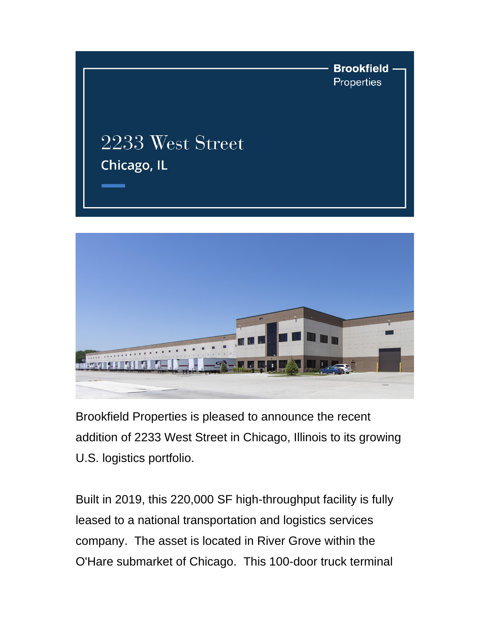



Brookfield Properties is pleased to announce the recent addition of 2233 West Street in Chicago, Illinois to its growing U.S. logistics portfolio.

Built in 2019, this 220,000 SF high-throughput facility is fully leased to a national transportation and logistics services company. The asset is located in River Grove within the O'Hare submarket of Chicago. This 100-door truck terminal